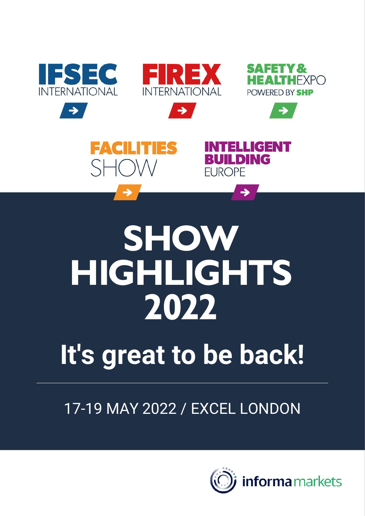





 $\rightarrow$ 





# **SHOW HIGHLIGHTS 2022**

# **It's great to be back!**

17-19 MAY 2022 / EXCEL LONDON

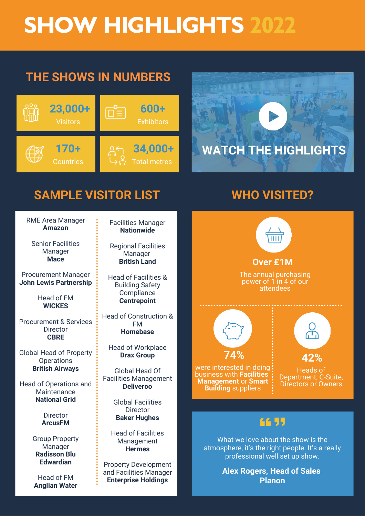## **SHOW HIGHLIGHTS 2022**

### **THE SHOWS IN NUMBERS**





#### **SAMPLE VISITOR LIST**

RME Area Manager **Amazon**

Senior Facilities Manager **Mace**

Procurement Manager **John Lewis Partnership**

> Head of FM **WICKES**

Procurement & Services **Director CBRE**

Global Head of Property **Operations British Airways**

Head of Operations and **Maintenance National Grid**

> **Director ArcusFM**

Group Property Manager **Radisson Blu Edwardian**

Head of FM **Anglian Water** Facilities Manager **Nationwide**

Regional Facilities Manager **British Land**

Head of Facilities & Building Safety **Compliance Centrepoint**

Head of Construction & FM **Homebase**

Head of Workplace **Drax Group**

Global Head Of Facilities Management **Deliveroo**

> Global Facilities **Director Baker Hughes**

Head of Facilities Management **Hermes**

Property Development and Facilities Manager **Enterprise Holdings**

#### **WHO VISITED?**



The annual purchasing power of 1 in 4 of our attendees



were interested in doing business with **Facilities Management** or **Smart Building** suppliers

**42%** Heads of Department, C-Suite, Directors or Owners

O.

#### 66 55

What we love about the show is the atmosphere, it's the right people. It's a really professional well set up show.

> **Alex Rogers, Head of Sales Planon**